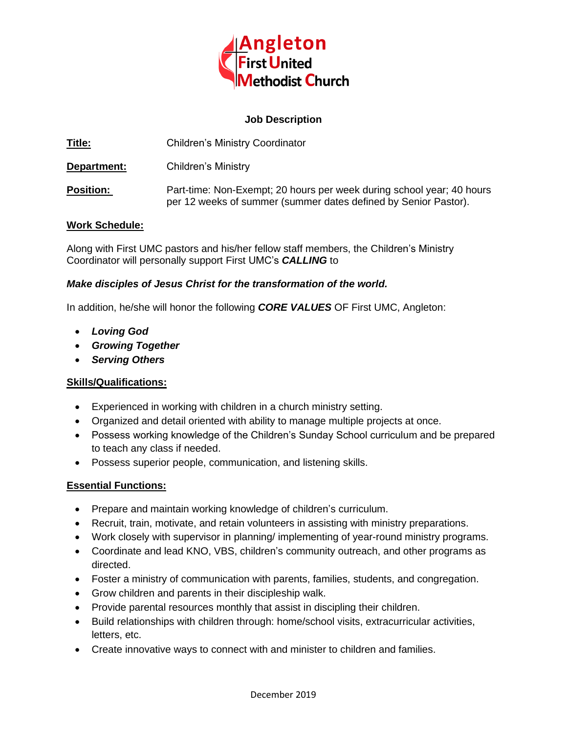

#### **Job Description**

**Title:** Children's Ministry Coordinator

**Department:** Children's Ministry

**Position:** Part-time: Non-Exempt; 20 hours per week during school year; 40 hours per 12 weeks of summer (summer dates defined by Senior Pastor).

### **Work Schedule:**

Along with First UMC pastors and his/her fellow staff members, the Children's Ministry Coordinator will personally support First UMC's *CALLING* to

### *Make disciples of Jesus Christ for the transformation of the world.*

In addition, he/she will honor the following *CORE VALUES* OF First UMC, Angleton:

- *Loving God*
- *Growing Together*
- *Serving Others*

# **Skills/Qualifications:**

- Experienced in working with children in a church ministry setting.
- Organized and detail oriented with ability to manage multiple projects at once.
- Possess working knowledge of the Children's Sunday School curriculum and be prepared to teach any class if needed.
- Possess superior people, communication, and listening skills.

# **Essential Functions:**

- Prepare and maintain working knowledge of children's curriculum.
- Recruit, train, motivate, and retain volunteers in assisting with ministry preparations.
- Work closely with supervisor in planning/ implementing of year-round ministry programs.
- Coordinate and lead KNO, VBS, children's community outreach, and other programs as directed.
- Foster a ministry of communication with parents, families, students, and congregation.
- Grow children and parents in their discipleship walk.
- Provide parental resources monthly that assist in discipling their children.
- Build relationships with children through: home/school visits, extracurricular activities, letters, etc.
- Create innovative ways to connect with and minister to children and families.